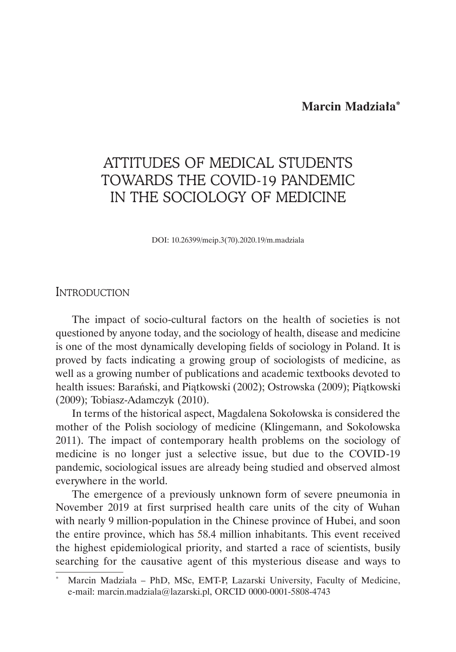**Marcin Madziała\***

# ATTITUDES OF MEDICAL STUDENTS TOWARDS THE COVID-19 PANDEMIC IN THE SOCIOLOGY OF MEDICINE

DOI: 10.26399/meip.3(70).2020.19/m.madziala

# **INTRODUCTION**

The impact of socio-cultural factors on the health of societies is not questioned by anyone today, and the sociology of health, disease and medicine is one of the most dynamically developing fields of sociology in Poland. It is proved by facts indicating a growing group of sociologists of medicine, as well as a growing number of publications and academic textbooks devoted to health issues: Barański, and Piątkowski (2002); Ostrowska (2009); Piątkowski (2009); Tobiasz-Adamczyk (2010).

In terms of the historical aspect, Magdalena Sokołowska is considered the mother of the Polish sociology of medicine (Klingemann, and Sokołowska 2011). The impact of contemporary health problems on the sociology of medicine is no longer just a selective issue, but due to the COVID-19 pandemic, sociological issues are already being studied and observed almost everywhere in the world.

The emergence of a previously unknown form of severe pneumonia in November 2019 at first surprised health care units of the city of Wuhan with nearly 9 million-population in the Chinese province of Hubei, and soon the entire province, which has 58.4 million inhabitants. This event received the highest epidemiological priority, and started a race of scientists, busily searching for the causative agent of this mysterious disease and ways to

Marcin Madziała – PhD, MSc, EMT-P, Lazarski University, Faculty of Medicine, e-mail: marcin.madziala@lazarski.pl, ORCID 0000-0001-5808-4743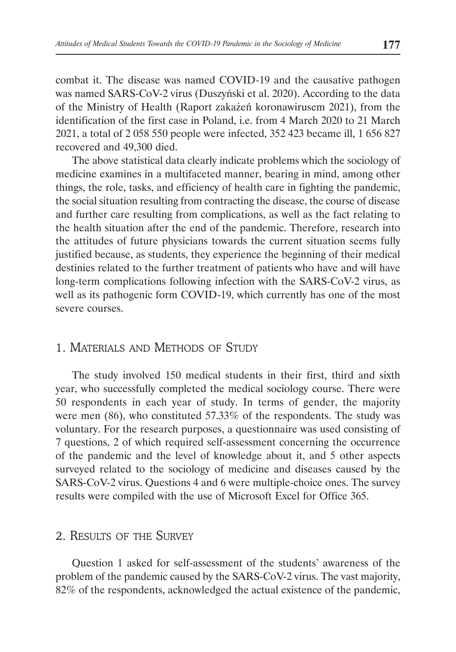combat it. The disease was named COVID-19 and the causative pathogen was named SARS-CoV-2 virus (Duszyński et al. 2020). According to the data of the Ministry of Health (Raport zakażeń koronawirusem 2021), from the identification of the first case in Poland, i.e. from 4 March 2020 to 21 March 2021, a total of 2 058 550 people were infected, 352 423 became ill, 1 656 827 recovered and 49,300 died.

The above statistical data clearly indicate problems which the sociology of medicine examines in a multifaceted manner, bearing in mind, among other things, the role, tasks, and efficiency of health care in fighting the pandemic, the social situation resulting from contracting the disease, the course of disease and further care resulting from complications, as well as the fact relating to the health situation after the end of the pandemic. Therefore, research into the attitudes of future physicians towards the current situation seems fully justified because, as students, they experience the beginning of their medical destinies related to the further treatment of patients who have and will have long-term complications following infection with the SARS-CoV-2 virus, as well as its pathogenic form COVID-19, which currently has one of the most severe courses.

# 1. Materials and Methods of Study

The study involved 150 medical students in their first, third and sixth year, who successfully completed the medical sociology course. There were 50 respondents in each year of study. In terms of gender, the majority were men (86), who constituted 57.33% of the respondents. The study was voluntary. For the research purposes, a questionnaire was used consisting of 7 questions, 2 of which required self-assessment concerning the occurrence of the pandemic and the level of knowledge about it, and 5 other aspects surveyed related to the sociology of medicine and diseases caused by the SARS-CoV-2 virus. Questions 4 and 6 were multiple-choice ones. The survey results were compiled with the use of Microsoft Excel for Office 365.

### 2. Results of the Survey

Question 1 asked for self-assessment of the students' awareness of the problem of the pandemic caused by the SARS-CoV-2 virus. The vast majority, 82% of the respondents, acknowledged the actual existence of the pandemic,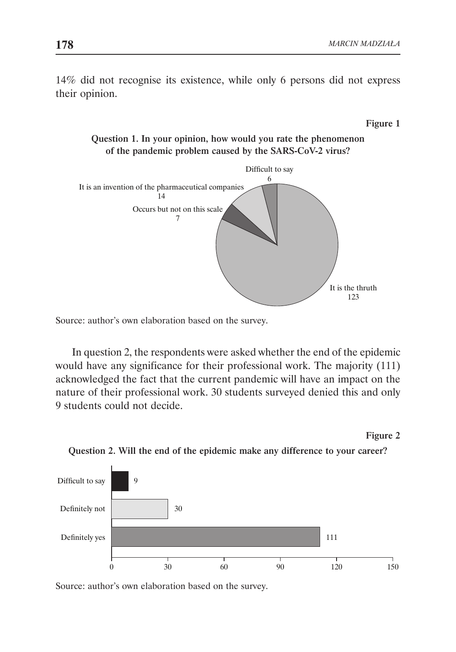14% did not recognise its existence, while only 6 persons did not express their opinion.

#### Figure 1

Question 1. In your opinion, how would you rate the phenomenon of the pandemic problem caused by the SARS-CoV-2 virus?



Source: author's own elaboration based on the survey.

In question 2, the respondents were asked whether the end of the epidemic would have any significance for their professional work. The majority (111) acknowledged the fact that the current pandemic will have an impact on the nature of their professional work. 30 students surveyed denied this and only 9 students could not decide.







Source: author's own elaboration based on the survey.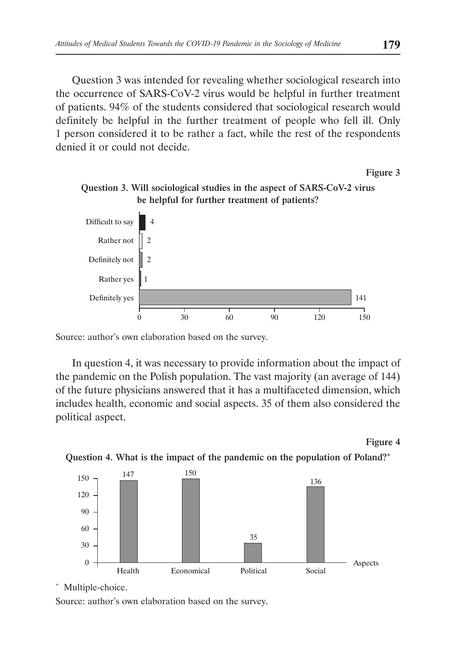Question 3 was intended for revealing whether sociological research into the occurrence of SARS-CoV-2 virus would be helpful in further treatment of patients. 94% of the students considered that sociological research would definitely be helpful in the further treatment of people who fell ill. Only 1 person considered it to be rather a fact, while the rest of the respondents denied it or could not decide.

Figure 3



Question 3. Will sociological studies in the aspect of SARS-CoV-2 virus be helpful for further treatment of patients?

In question 4, it was necessary to provide information about the impact of the pandemic on the Polish population. The vast majority (an average of 144) of the future physicians answered that it has a multifaceted dimension, which includes health, economic and social aspects. 35 of them also considered the political aspect.

Figure 4





\* Multiple-choice.

Source: author's own elaboration based on the survey.

Source: author's own elaboration based on the survey.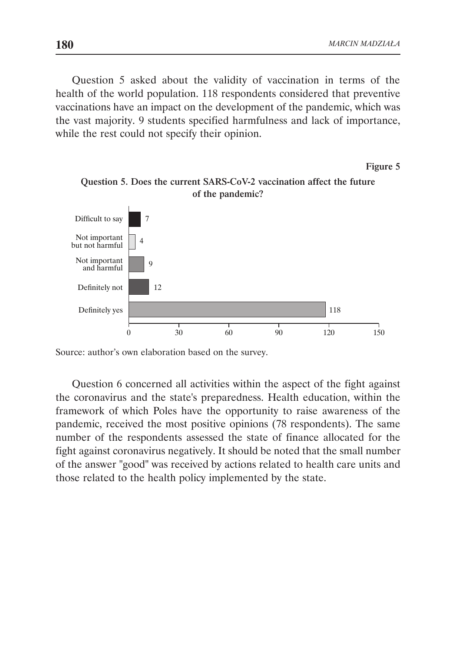Figure 5

Question 5 asked about the validity of vaccination in terms of the health of the world population. 118 respondents considered that preventive vaccinations have an impact on the development of the pandemic, which was the vast majority. 9 students specified harmfulness and lack of importance, while the rest could not specify their opinion.





Source: author's own elaboration based on the survey.

Question 6 concerned all activities within the aspect of the fight against the coronavirus and the state's preparedness. Health education, within the framework of which Poles have the opportunity to raise awareness of the pandemic, received the most positive opinions (78 respondents). The same number of the respondents assessed the state of finance allocated for the fight against coronavirus negatively. It should be noted that the small number of the answer "good" was received by actions related to health care units and those related to the health policy implemented by the state.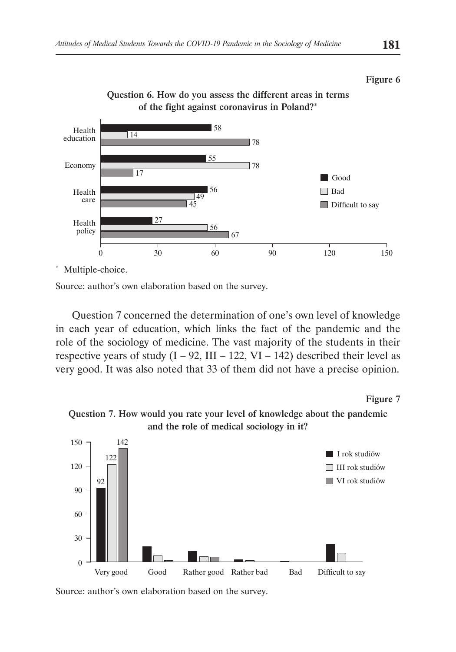



Question 6. How do you assess the different areas in terms of the fight against coronavirus in Poland?\*

\* Multiple-choice.

Source: author's own elaboration based on the survey.

Question 7 concerned the determination of one's own level of knowledge in each year of education, which links the fact of the pandemic and the role of the sociology of medicine. The vast majority of the students in their respective years of study  $(I - 92, III - 122, VI - 142)$  described their level as very good. It was also noted that 33 of them did not have a precise opinion.



Question 7. How would you rate your level of knowledge about the pandemic and the role of medical sociology in it?



Source: author's own elaboration based on the survey.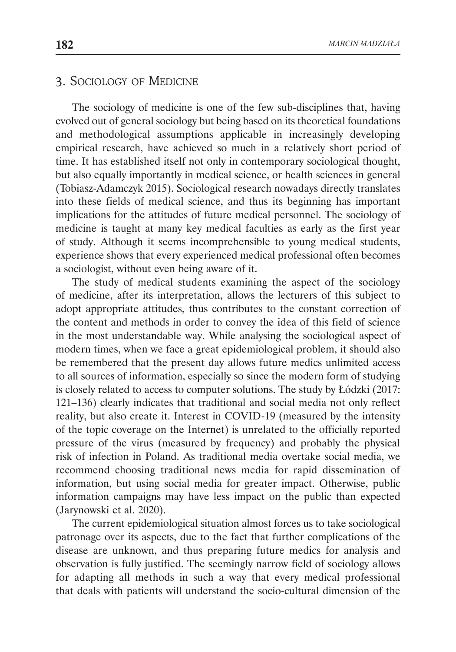# 3. Sociology of Medicine

The sociology of medicine is one of the few sub-disciplines that, having evolved out of general sociology but being based on its theoretical foundations and methodological assumptions applicable in increasingly developing empirical research, have achieved so much in a relatively short period of time. It has established itself not only in contemporary sociological thought, but also equally importantly in medical science, or health sciences in general (Tobiasz-Adamczyk 2015). Sociological research nowadays directly translates into these fields of medical science, and thus its beginning has important implications for the attitudes of future medical personnel. The sociology of medicine is taught at many key medical faculties as early as the first year of study. Although it seems incomprehensible to young medical students, experience shows that every experienced medical professional often becomes a sociologist, without even being aware of it.

The study of medical students examining the aspect of the sociology of medicine, after its interpretation, allows the lecturers of this subject to adopt appropriate attitudes, thus contributes to the constant correction of the content and methods in order to convey the idea of this field of science in the most understandable way. While analysing the sociological aspect of modern times, when we face a great epidemiological problem, it should also be remembered that the present day allows future medics unlimited access to all sources of information, especially so since the modern form of studying is closely related to access to computer solutions. The study by Łódzki (2017: 121–136) clearly indicates that traditional and social media not only reflect reality, but also create it. Interest in COVID-19 (measured by the intensity of the topic coverage on the Internet) is unrelated to the officially reported pressure of the virus (measured by frequency) and probably the physical risk of infection in Poland. As traditional media overtake social media, we recommend choosing traditional news media for rapid dissemination of information, but using social media for greater impact. Otherwise, public information campaigns may have less impact on the public than expected (Jarynowski et al. 2020).

The current epidemiological situation almost forces us to take sociological patronage over its aspects, due to the fact that further complications of the disease are unknown, and thus preparing future medics for analysis and observation is fully justified. The seemingly narrow field of sociology allows for adapting all methods in such a way that every medical professional that deals with patients will understand the socio-cultural dimension of the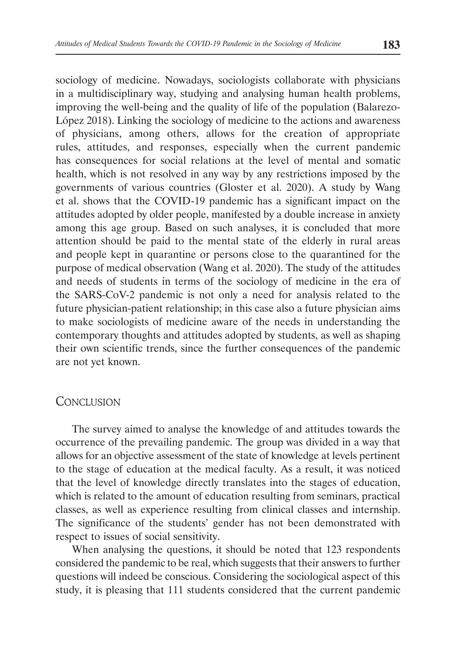sociology of medicine. Nowadays, sociologists collaborate with physicians in a multidisciplinary way, studying and analysing human health problems, improving the well-being and the quality of life of the population (Balarezo-López 2018). Linking the sociology of medicine to the actions and awareness of physicians, among others, allows for the creation of appropriate rules, attitudes, and responses, especially when the current pandemic has consequences for social relations at the level of mental and somatic health, which is not resolved in any way by any restrictions imposed by the governments of various countries (Gloster et al. 2020). A study by Wang et al. shows that the COVID-19 pandemic has a significant impact on the attitudes adopted by older people, manifested by a double increase in anxiety among this age group. Based on such analyses, it is concluded that more attention should be paid to the mental state of the elderly in rural areas and people kept in quarantine or persons close to the quarantined for the purpose of medical observation (Wang et al. 2020). The study of the attitudes and needs of students in terms of the sociology of medicine in the era of the SARS-CoV-2 pandemic is not only a need for analysis related to the future physician-patient relationship; in this case also a future physician aims to make sociologists of medicine aware of the needs in understanding the contemporary thoughts and attitudes adopted by students, as well as shaping their own scientific trends, since the further consequences of the pandemic are not yet known.

# **CONCLUSION**

The survey aimed to analyse the knowledge of and attitudes towards the occurrence of the prevailing pandemic. The group was divided in a way that allows for an objective assessment of the state of knowledge at levels pertinent to the stage of education at the medical faculty. As a result, it was noticed that the level of knowledge directly translates into the stages of education, which is related to the amount of education resulting from seminars, practical classes, as well as experience resulting from clinical classes and internship. The significance of the students' gender has not been demonstrated with respect to issues of social sensitivity.

When analysing the questions, it should be noted that 123 respondents considered the pandemic to be real, which suggests that their answers to further questions will indeed be conscious. Considering the sociological aspect of this study, it is pleasing that 111 students considered that the current pandemic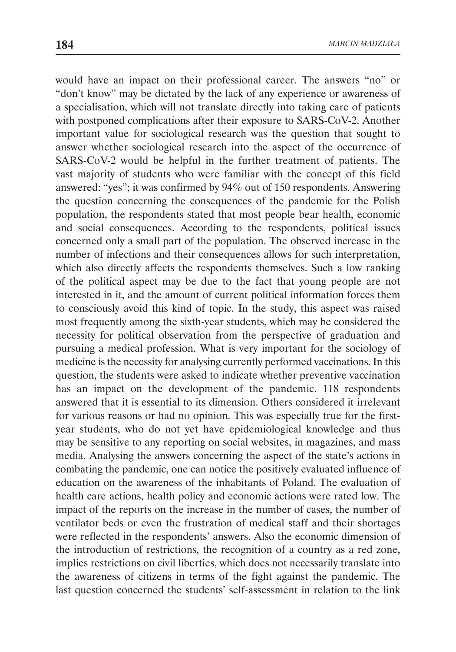would have an impact on their professional career. The answers "no" or "don't know" may be dictated by the lack of any experience or awareness of a specialisation, which will not translate directly into taking care of patients with postponed complications after their exposure to SARS-CoV-2. Another important value for sociological research was the question that sought to answer whether sociological research into the aspect of the occurrence of SARS-CoV-2 would be helpful in the further treatment of patients. The vast majority of students who were familiar with the concept of this field answered: "yes"; it was confirmed by 94% out of 150 respondents. Answering the question concerning the consequences of the pandemic for the Polish population, the respondents stated that most people bear health, economic and social consequences. According to the respondents, political issues concerned only a small part of the population. The observed increase in the number of infections and their consequences allows for such interpretation, which also directly affects the respondents themselves. Such a low ranking of the political aspect may be due to the fact that young people are not interested in it, and the amount of current political information forces them to consciously avoid this kind of topic. In the study, this aspect was raised most frequently among the sixth-year students, which may be considered the necessity for political observation from the perspective of graduation and pursuing a medical profession. What is very important for the sociology of medicine is the necessity for analysing currently performed vaccinations. In this question, the students were asked to indicate whether preventive vaccination has an impact on the development of the pandemic. 118 respondents answered that it is essential to its dimension. Others considered it irrelevant for various reasons or had no opinion. This was especially true for the firstyear students, who do not yet have epidemiological knowledge and thus may be sensitive to any reporting on social websites, in magazines, and mass media. Analysing the answers concerning the aspect of the state's actions in combating the pandemic, one can notice the positively evaluated influence of education on the awareness of the inhabitants of Poland. The evaluation of health care actions, health policy and economic actions were rated low. The impact of the reports on the increase in the number of cases, the number of ventilator beds or even the frustration of medical staff and their shortages were reflected in the respondents' answers. Also the economic dimension of the introduction of restrictions, the recognition of a country as a red zone, implies restrictions on civil liberties, which does not necessarily translate into the awareness of citizens in terms of the fight against the pandemic. The last question concerned the students' self-assessment in relation to the link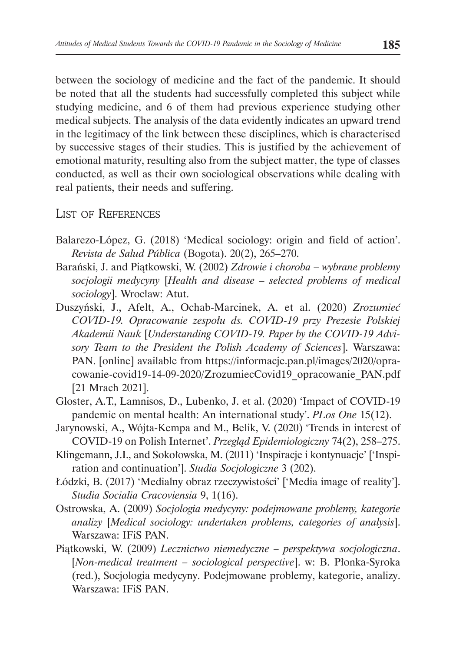between the sociology of medicine and the fact of the pandemic. It should be noted that all the students had successfully completed this subject while studying medicine, and 6 of them had previous experience studying other medical subjects. The analysis of the data evidently indicates an upward trend in the legitimacy of the link between these disciplines, which is characterised by successive stages of their studies. This is justified by the achievement of emotional maturity, resulting also from the subject matter, the type of classes conducted, as well as their own sociological observations while dealing with real patients, their needs and suffering.

# LIST OF REFERENCES

- Balarezo-López, G. (2018) 'Medical sociology: origin and field of action'. *Revista de Salud Pública* (Bogota). 20(2), 265–270.
- Barański, J. and Piątkowski, W. (2002) *Zdrowie i choroba wybrane problemy socjologii medycyny* [*Health and disease – selected problems of medical sociology*]. Wrocław: Atut.
- Duszyński, J., Afelt, A., Ochab-Marcinek, A. et al. (2020) *Zrozumieć COVID‑19. Opracowanie zespołu ds. COVID-19 przy Prezesie Polskiej Akademii Nauk* [*Understanding COVID-19. Paper by the COVID-19 Advisory Team to the President the Polish Academy of Sciences*]. Warszawa: PAN. [online] available from https://informacje.pan.pl/images/2020/opracowanie-covid19-14-09-2020/ZrozumiecCovid19\_opracowanie\_PAN.pdf [21 Mrach 2021].
- Gloster, A.T., Lamnisos, D., Lubenko, J. et al. (2020) 'Impact of COVID-19 pandemic on mental health: An international study'. *PLos One* 15(12).
- Jarynowski, A., Wójta-Kempa and M., Belik, V. (2020) 'Trends in interest of COVID-19 on Polish Internet'. *Przegląd Epidemiologiczny* 74(2), 258–275.
- Klingemann, J.I., and Sokołowska, M. (2011) 'Inspiracje i kontynuacje' ['Inspiration and continuation']. *Studia Socjologiczne* 3 (202).
- Łódzki, B. (2017) 'Medialny obraz rzeczywistości' ['Media image of reality']. *Studia Socialia Cracoviensia* 9, 1(16).
- Ostrowska, A. (2009) *Socjologia medycyny: podejmowane problemy, kategorie analizy* [*Medical sociology: undertaken problems, categories of analysis*]. Warszawa: IFiS PAN.
- Piątkowski, W. (2009) *Lecznictwo niemedyczne perspektywa socjologiczna*. [*Non-medical treatment – sociological perspective*]. w: B. Płonka-Syroka (red.), Socjologia medycyny. Podejmowane problemy, kategorie, analizy. Warszawa: IFiS PAN.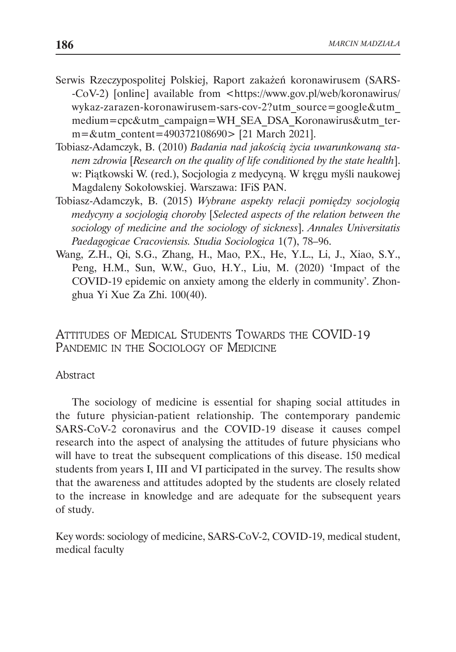- Serwis Rzeczypospolitej Polskiej, Raport zakażeń koronawirusem (SARS- -CoV-2) [online] available from <https://www.gov.pl/web/koronawirus/ wykaz-zarazen-koronawirusem-sars-cov-2?utm\_source=google&utm\_ medium=cpc&utm\_campaign=WH\_SEA\_DSA\_Koronawirus&utm\_term=&utm\_content=490372108690> [21 March 2021].
- Tobiasz-Adamczyk, B. (2010) *Badania nad jakością życia uwarunkowaną stanem zdrowia* [*Research on the quality of life conditioned by the state health*]. w: Piątkowski W. (red.), Socjologia z medycyną. W kręgu myśli naukowej Magdaleny Sokołowskiej. Warszawa: IFiS PAN.
- Tobiasz-Adamczyk, B. (2015) *Wybrane aspekty relacji pomiędzy socjologią medycyny a socjologią choroby* [*Selected aspects of the relation between the sociology of medicine and the sociology of sickness*]. *Annales Universitatis Paedagogicae Cracoviensis. Studia Sociologica* 1(7), 78–96.
- Wang, Z.H., Qi, S.G., Zhang, H., Mao, P.X., He, Y.L., Li, J., Xiao, S.Y., Peng, H.M., Sun, W.W., Guo, H.Y., Liu, M. (2020) 'Impact of the COVID‑19 epidemic on anxiety among the elderly in community'. Zhonghua Yi Xue Za Zhi. 100(40).

Attitudes of Medical Students Towards the COVID-19 PANDEMIC IN THE SOCIOLOGY OF MEDICINE

# Abstract

The sociology of medicine is essential for shaping social attitudes in the future physician-patient relationship. The contemporary pandemic SARS-CoV-2 coronavirus and the COVID-19 disease it causes compel research into the aspect of analysing the attitudes of future physicians who will have to treat the subsequent complications of this disease. 150 medical students from years I, III and VI participated in the survey. The results show that the awareness and attitudes adopted by the students are closely related to the increase in knowledge and are adequate for the subsequent years of study.

Key words: sociology of medicine, SARS-CoV-2, COVID-19, medical student, medical faculty